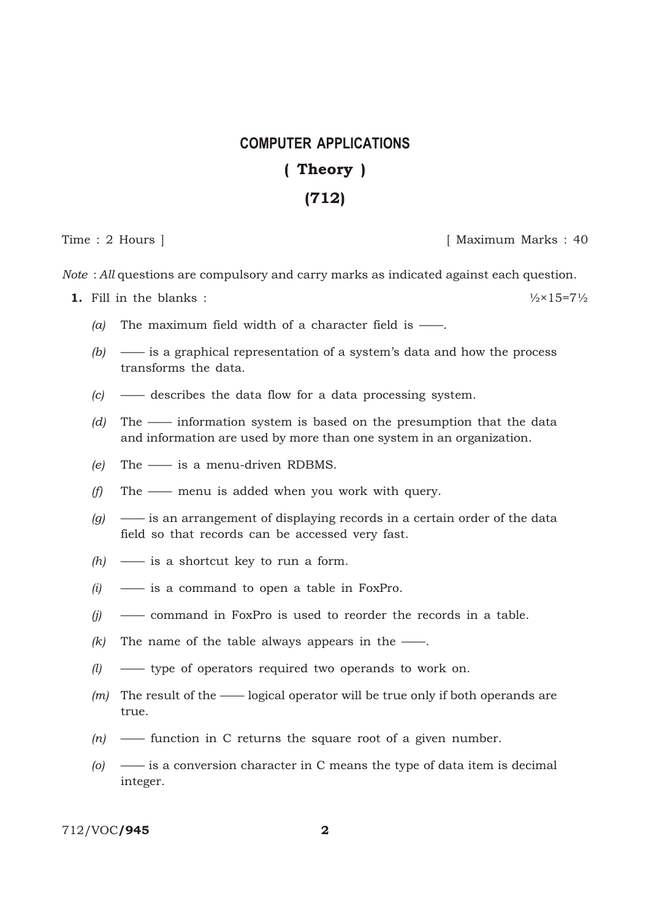## **COMPUTER APPLICATIONS** (Theory) (712)

Time : 2 Hours ] [ Maximum Marks : 40

*Note* : *All* questions are compulsory and carry marks as indicated against each question.

**1.** Fill in the blanks :  $\frac{1}{2} \times 15 = 7\frac{1}{2}$ 

- *(a)* The maximum field width of a character field is ——.
- *(b)* —— is a graphical representation of a system's data and how the process transforms the data.
- *(c)* —— describes the data flow for a data processing system.
- *(d)* The —— information system is based on the presumption that the data and information are used by more than one system in an organization.
- *(e)* The —— is a menu-driven RDBMS.
- *(f)* The —— menu is added when you work with query.
- *(g)* —— is an arrangement of displaying records in a certain order of the data field so that records can be accessed very fast.
- *(h)* —— is a shortcut key to run a form.
- *(i)* —— is a command to open a table in FoxPro.
- *(j)* —— command in FoxPro is used to reorder the records in a table.
- $(k)$  The name of the table always appears in the ——.
- *(l)* —— type of operators required two operands to work on.
- *(m)* The result of the —— logical operator will be true only if both operands are true.
- *(n)* —— function in C returns the square root of a given number.
- *(o)* —— is a conversion character in C means the type of data item is decimal integer.

712/VOC/945 2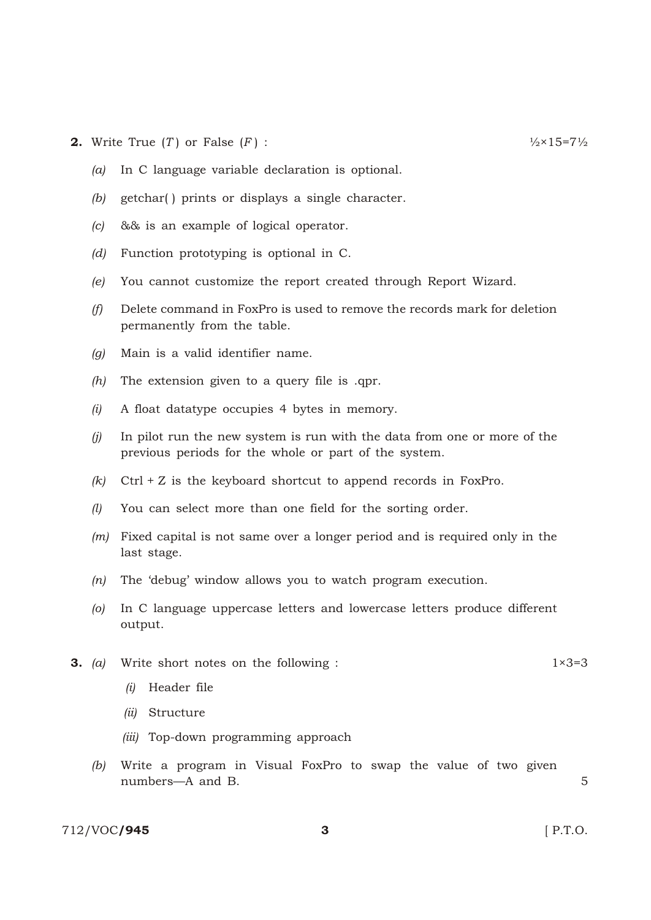- **2.** Write True (*T*) or False (*F*) :  $\frac{1}{2} \times 15 = 7\frac{1}{2}$ 
	- *(a)* In C language variable declaration is optional.
	- *(b)* getchar( ) prints or displays a single character.
	- *(c)* && is an example of logical operator.
	- *(d)* Function prototyping is optional in C.
	- *(e)* You cannot customize the report created through Report Wizard.
	- *(f)* Delete command in FoxPro is used to remove the records mark for deletion permanently from the table.
	- *(g)* Main is a valid identifier name.
	- *(h)* The extension given to a query file is .qpr.
	- *(i)* A float datatype occupies 4 bytes in memory.
	- *(j)* In pilot run the new system is run with the data from one or more of the previous periods for the whole or part of the system.
	- *(k)* Ctrl + Z is the keyboard shortcut to append records in FoxPro.
	- *(l)* You can select more than one field for the sorting order.
	- *(m)* Fixed capital is not same over a longer period and is required only in the last stage.
	- *(n)* The 'debug' window allows you to watch program execution.
	- *(o)* In C language uppercase letters and lowercase letters produce different output.
- **3.** (a) Write short notes on the following : 1×3=3
	- *(i)* Header file
	- *(ii)* Structure
	- *(iii)* Top-down programming approach
	- *(b)* Write a program in Visual FoxPro to swap the value of two given numbers—A and B. 5

712/VOC**/945** 3 **3 12/VOC/945 12/VOC/945**